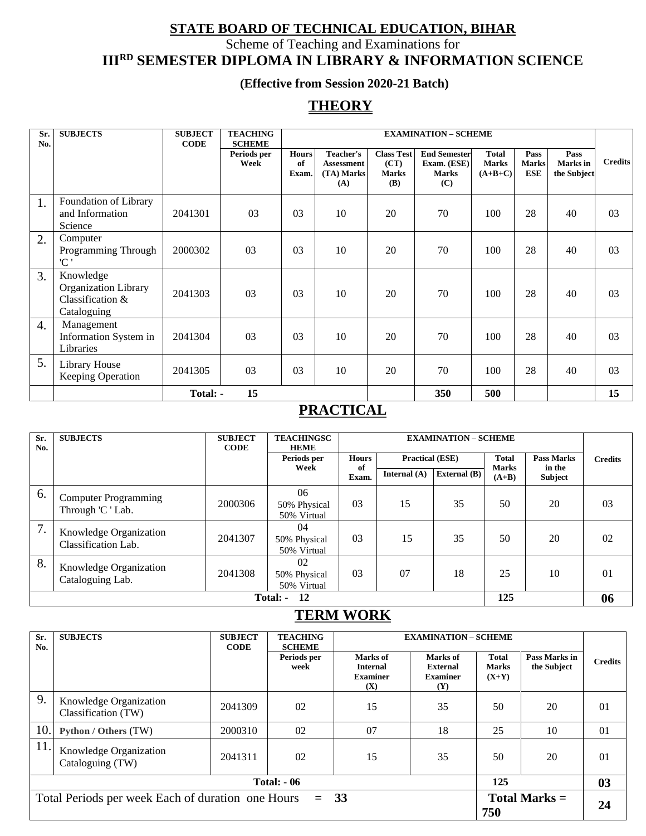## **STATE BOARD OF TECHNICAL EDUCATION, BIHAR**

Scheme of Teaching and Examinations for

**IIIRD SEMESTER DIPLOMA IN LIBRARY & INFORMATION SCIENCE**

## **(Effective from Session 2020-21 Batch)**

## **THEORY**

| Sr.<br>No.       | <b>SUBJECTS</b>                                                      | <b>SUBJECT</b><br><b>CODE</b> | <b>TEACHING</b><br><b>SCHEME</b> |                             | <b>EXAMINATION - SCHEME</b>                                |                                                         |                                                           |                                           |                                    |                                 |                |
|------------------|----------------------------------------------------------------------|-------------------------------|----------------------------------|-----------------------------|------------------------------------------------------------|---------------------------------------------------------|-----------------------------------------------------------|-------------------------------------------|------------------------------------|---------------------------------|----------------|
|                  |                                                                      |                               | Periods per<br>Week              | <b>Hours</b><br>of<br>Exam. | <b>Teacher's</b><br><b>Assessment</b><br>(TA) Marks<br>(A) | <b>Class Test</b><br>(CT)<br><b>Marks</b><br><b>(B)</b> | <b>End Semester</b><br>Exam. (ESE)<br><b>Marks</b><br>(C) | <b>Total</b><br><b>Marks</b><br>$(A+B+C)$ | Pass<br><b>Marks</b><br><b>ESE</b> | Pass<br>Marks in<br>the Subject | <b>Credits</b> |
| 1.               | Foundation of Library<br>and Information<br>Science                  | 2041301                       | 03                               | 03                          | 10                                                         | 20                                                      | 70                                                        | 100                                       | 28                                 | 40                              | 03             |
| 2.               | Computer<br>Programming Through<br>'C '                              | 2000302                       | 03                               | 03                          | 10                                                         | 20                                                      | 70                                                        | 100                                       | 28                                 | 40                              | 03             |
| 3.               | Knowledge<br>Organization Library<br>Classification &<br>Cataloguing | 2041303                       | 03                               | 03                          | 10                                                         | 20                                                      | 70                                                        | 100                                       | 28                                 | 40                              | 03             |
| $\overline{4}$ . | Management<br>Information System in<br>Libraries                     | 2041304                       | 03                               | 03                          | 10                                                         | 20                                                      | 70                                                        | 100                                       | 28                                 | 40                              | 03             |
| 5.               | Library House<br>Keeping Operation                                   | 2041305                       | 03                               | 03                          | 10                                                         | 20                                                      | 70                                                        | 100                                       | 28                                 | 40                              | 03             |
|                  |                                                                      | Total: -                      | 15                               |                             |                                                            |                                                         | 350                                                       | 500                                       |                                    |                                 | 15             |

## **PRACTICAL**

| Sr.<br>No. | <b>SUBJECTS</b>                                  | <b>SUBJECT</b><br><b>CODE</b> | <b>TEACHINGSC</b><br><b>HEME</b>  |                    |                        |                     | <b>EXAMINATION - SCHEME</b>  |                             |                |  |
|------------|--------------------------------------------------|-------------------------------|-----------------------------------|--------------------|------------------------|---------------------|------------------------------|-----------------------------|----------------|--|
|            |                                                  |                               | Periods per<br>Week               | <b>Hours</b><br>of | <b>Practical (ESE)</b> |                     | <b>Total</b><br><b>Marks</b> | <b>Pass Marks</b><br>in the | <b>Credits</b> |  |
|            |                                                  |                               |                                   | Exam.              | Internal $(A)$         | <b>External</b> (B) | $(A+B)$                      | <b>Subject</b>              |                |  |
| 6.         | <b>Computer Programming</b><br>Through 'C ' Lab. | 2000306                       | 06<br>50% Physical<br>50% Virtual | 03                 | 15                     | 35                  | 50                           | 20                          | 03             |  |
| 7.         | Knowledge Organization<br>Classification Lab.    | 2041307                       | 04<br>50% Physical<br>50% Virtual | 0 <sub>3</sub>     | 15                     | 35                  | 50                           | 20                          | 02             |  |
| 8.         | Knowledge Organization<br>Cataloguing Lab.       | 2041308                       | 02<br>50% Physical<br>50% Virtual | 0 <sub>3</sub>     | 07                     | 18                  | 25                           | 10                          | 01             |  |
|            | 125<br><b>12</b><br>Total: -                     |                               |                                   |                    |                        |                     |                              |                             | 06             |  |

## **TERM WORK**

| Sr.<br>No.                                                                               | <b>SUBJECTS</b>                               | <b>SUBJECT</b><br><b>CODE</b> | <b>TEACHING</b><br><b>SCHEME</b> | <b>EXAMINATION - SCHEME</b>                           |                                                              |                                  |                              |                |  |
|------------------------------------------------------------------------------------------|-----------------------------------------------|-------------------------------|----------------------------------|-------------------------------------------------------|--------------------------------------------------------------|----------------------------------|------------------------------|----------------|--|
|                                                                                          |                                               |                               | Periods per<br>week              | Marks of<br><b>Internal</b><br><b>Examiner</b><br>(X) | Marks of<br><b>External</b><br><b>Examiner</b><br><b>(Y)</b> | Total<br><b>Marks</b><br>$(X+Y)$ | Pass Marks in<br>the Subject | <b>Credits</b> |  |
| 9.                                                                                       | Knowledge Organization<br>Classification (TW) | 2041309                       | 02                               | 15                                                    | 35                                                           | 50                               | 20                           | 01             |  |
| 10.                                                                                      | Python / Others (TW)                          | 2000310                       | 02                               | 07                                                    | 18                                                           | 25                               | 10                           | 01             |  |
| 11.                                                                                      | Knowledge Organization<br>Cataloguing (TW)    | 2041311                       | 02                               | 15                                                    | 35                                                           | 50                               | 20                           | $\Omega$       |  |
| 125<br><b>Total: - 06</b>                                                                |                                               |                               |                                  |                                                       |                                                              |                                  |                              | 03             |  |
| Total Periods per week Each of duration one Hours<br>33<br>Total Marks $=$<br>$=$<br>750 |                                               |                               |                                  |                                                       |                                                              |                                  |                              | 24             |  |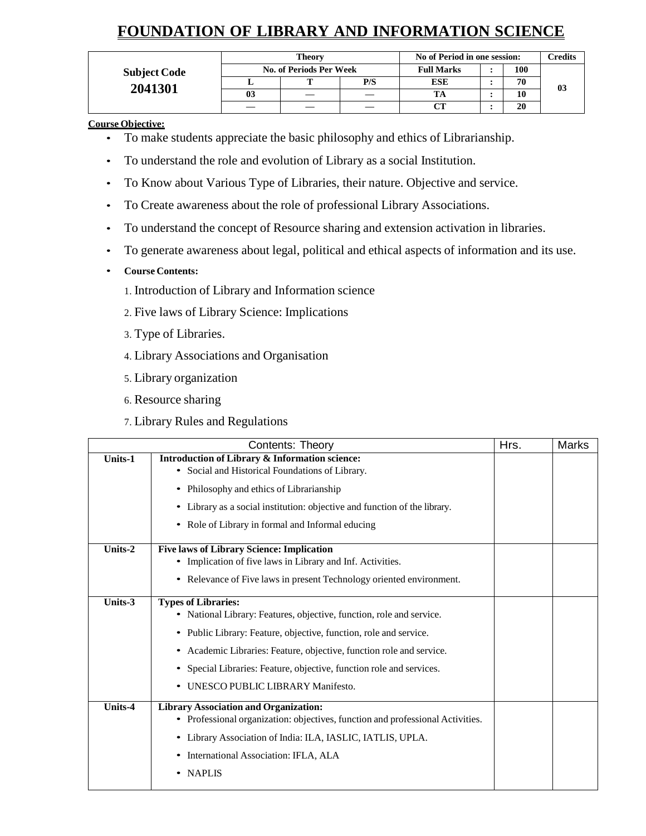# **FOUNDATION OF LIBRARY AND INFORMATION SCIENCE**

|                     |    | <b>Theory</b>                  | No of Period in one session: | Credits    |  |    |    |
|---------------------|----|--------------------------------|------------------------------|------------|--|----|----|
| <b>Subject Code</b> |    | <b>No. of Periods Per Week</b> | <b>Full Marks</b>            | 100        |  |    |    |
|                     |    |                                | P/S                          | <b>ESE</b> |  | 70 | 03 |
| 2041301             | 03 |                                |                              |            |  |    |    |
|                     |    |                                |                              | CТ         |  | 20 |    |

**Course Objective:**

- To make students appreciate the basic philosophy and ethics of Librarianship.
- To understand the role and evolution of Library as a social Institution.
- To Know about Various Type of Libraries, their nature. Objective and service.
- To Create awareness about the role of professional Library Associations.
- To understand the concept of Resource sharing and extension activation in libraries.
- To generate awareness about legal, political and ethical aspects of information and its use.
- **Course Contents:**
	- 1. Introduction of Library and Information science
	- 2. Five laws of Library Science: Implications
	- 3. Type of Libraries.
	- 4. Library Associations and Organisation
	- 5. Library organization
	- 6. Resource sharing
	- 7. Library Rules and Regulations

|         | Contents: Theory                                                                                                                                                                                                                                                                                                                                                                    | Hrs. | Marks |
|---------|-------------------------------------------------------------------------------------------------------------------------------------------------------------------------------------------------------------------------------------------------------------------------------------------------------------------------------------------------------------------------------------|------|-------|
| Units-1 | <b>Introduction of Library &amp; Information science:</b><br>• Social and Historical Foundations of Library.<br>• Philosophy and ethics of Librarianship<br>• Library as a social institution: objective and function of the library.<br>Role of Library in formal and Informal educing<br>$\bullet$                                                                                |      |       |
| Units-2 | <b>Five laws of Library Science: Implication</b><br>• Implication of five laws in Library and Inf. Activities.<br>Relevance of Five laws in present Technology oriented environment.<br>$\bullet$                                                                                                                                                                                   |      |       |
| Units-3 | <b>Types of Libraries:</b><br>• National Library: Features, objective, function, role and service.<br>• Public Library: Feature, objective, function, role and service.<br>• Academic Libraries: Feature, objective, function role and service.<br>Special Libraries: Feature, objective, function role and services.<br>$\bullet$<br>UNESCO PUBLIC LIBRARY Manifesto.<br>$\bullet$ |      |       |
| Units-4 | <b>Library Association and Organization:</b><br>• Professional organization: objectives, function and professional Activities.<br>• Library Association of India: ILA, IASLIC, IATLIS, UPLA.<br>• International Association: IFLA, ALA<br>• NAPLIS                                                                                                                                  |      |       |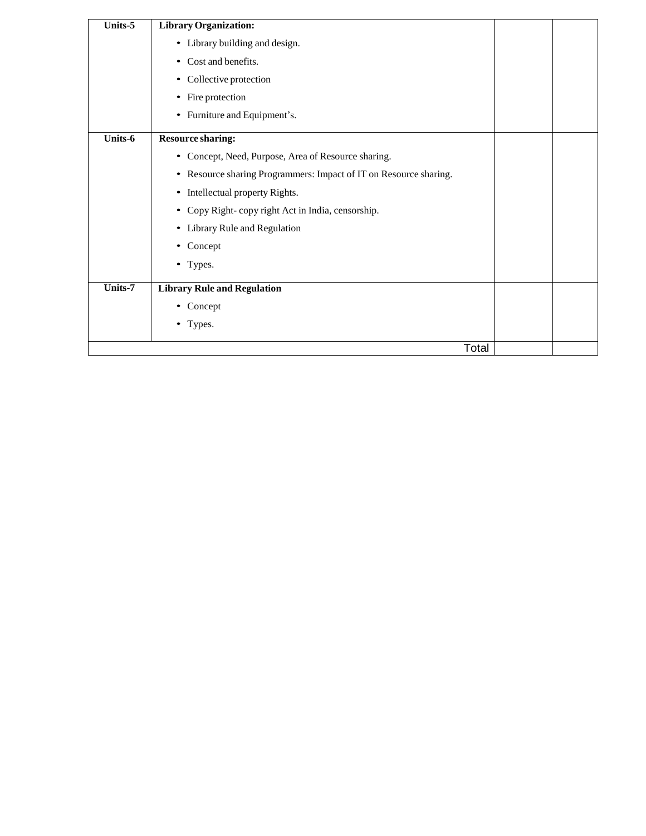| Units-5 | <b>Library Organization:</b>                                      |  |
|---------|-------------------------------------------------------------------|--|
|         | • Library building and design.                                    |  |
|         | • Cost and benefits.                                              |  |
|         | • Collective protection                                           |  |
|         | • Fire protection                                                 |  |
|         | • Furniture and Equipment's.                                      |  |
| Units-6 | <b>Resource sharing:</b>                                          |  |
|         | • Concept, Need, Purpose, Area of Resource sharing.               |  |
|         | • Resource sharing Programmers: Impact of IT on Resource sharing. |  |
|         | • Intellectual property Rights.                                   |  |
|         | • Copy Right-copy right Act in India, censorship.                 |  |
|         | • Library Rule and Regulation                                     |  |
|         | • Concept                                                         |  |
|         | • Types.                                                          |  |
| Units-7 | <b>Library Rule and Regulation</b>                                |  |
|         | • Concept                                                         |  |
|         | • Types.                                                          |  |
|         | Total                                                             |  |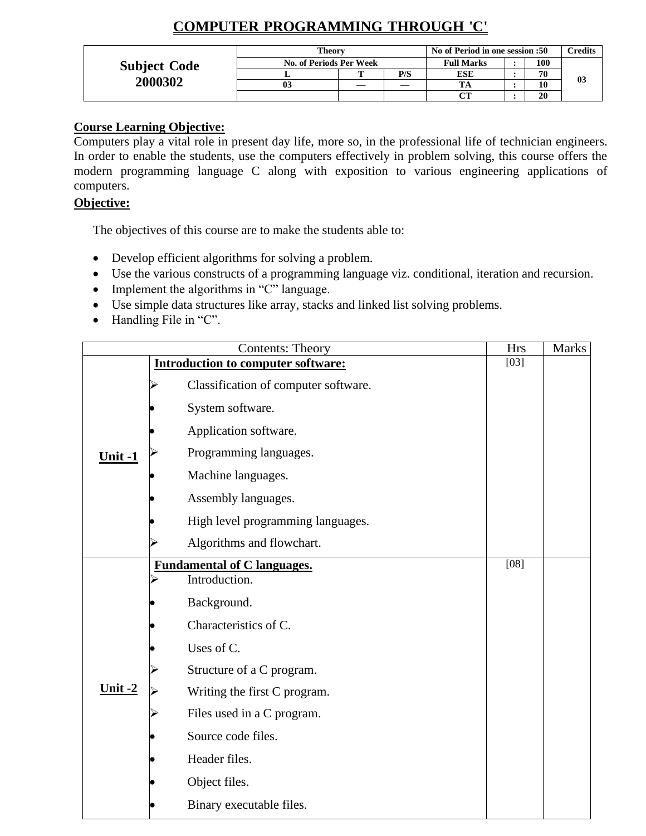# **COMPUTER PROGRAMMING THROUGH 'C'**

|                     | <b>Theory</b>           | No of Period in one session :50 | <b>Credits</b>    |     |                |
|---------------------|-------------------------|---------------------------------|-------------------|-----|----------------|
| <b>Subject Code</b> | No. of Periods Per Week |                                 | <b>Full Marks</b> | 100 |                |
|                     |                         | P/S                             | <b>ESE</b>        | 70  | 0 <sub>3</sub> |
| 2000302             | 0 <sup>3</sup>          |                                 | <b>TA</b>         | 10  |                |
|                     |                         |                                 | $\alpha$          | 20  |                |

## **Course Learning Objective:**

Computers play a vital role in present day life, more so, in the professional life of technician engineers. In order to enable the students, use the computers effectively in problem solving, this course offers the modern programming language C along with exposition to various engineering applications of computers.

## **Objective:**

The objectives of this course are to make the students able to:

- Develop efficient algorithms for solving a problem.
- Use the various constructs of a programming language viz. conditional, iteration and recursion.
- Implement the algorithms in "C" language.
- Use simple data structures like array, stacks and linked list solving problems.
- Handling File in "C".

|           | <b>Contents: Theory</b>                   | <b>Hrs</b> | <b>Marks</b> |
|-----------|-------------------------------------------|------------|--------------|
|           | <b>Introduction to computer software:</b> | $[03]$     |              |
|           | Classification of computer software.      |            |              |
|           | System software.                          |            |              |
|           | Application software.                     |            |              |
| Unit $-1$ | Programming languages.                    |            |              |
|           | Machine languages.                        |            |              |
|           | Assembly languages.                       |            |              |
|           | High level programming languages.         |            |              |
|           | Algorithms and flowchart.                 |            |              |
|           | <b>Fundamental of C languages.</b>        | [08]       |              |
|           | Introduction.                             |            |              |
|           | Background.                               |            |              |
|           | Characteristics of C.                     |            |              |
|           | Uses of C.                                |            |              |
|           | Structure of a C program.                 |            |              |
| Unit $-2$ | Writing the first C program.              |            |              |
|           | Files used in a C program.                |            |              |
|           | Source code files.                        |            |              |
|           | Header files.                             |            |              |
|           | Object files.                             |            |              |
|           | Binary executable files.                  |            |              |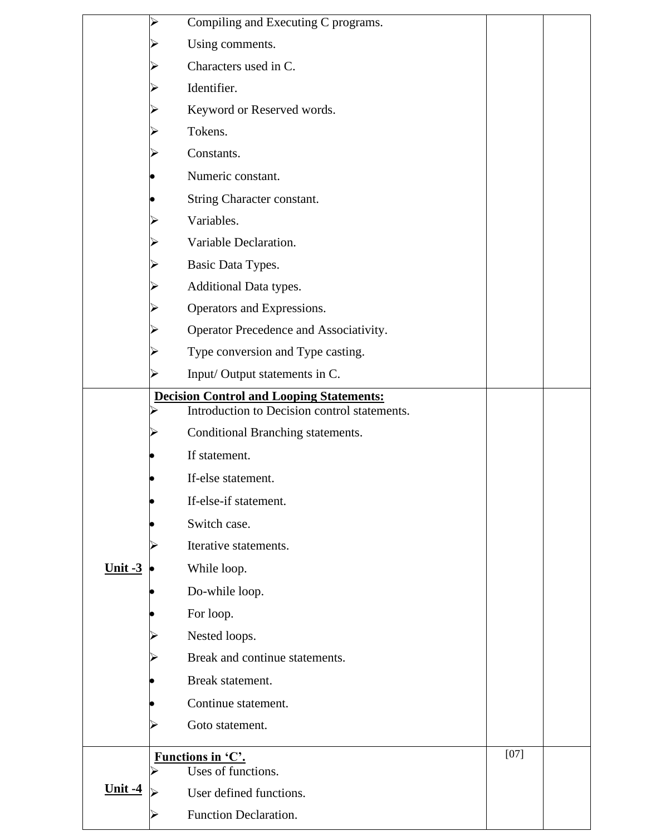|                       | ➤ | Compiling and Executing C programs.                                                             |        |  |
|-----------------------|---|-------------------------------------------------------------------------------------------------|--------|--|
|                       |   | Using comments.                                                                                 |        |  |
|                       |   | Characters used in C.                                                                           |        |  |
|                       |   | Identifier.                                                                                     |        |  |
|                       |   | Keyword or Reserved words.                                                                      |        |  |
|                       |   | Tokens.                                                                                         |        |  |
|                       |   | Constants.                                                                                      |        |  |
|                       |   | Numeric constant.                                                                               |        |  |
|                       |   | String Character constant.                                                                      |        |  |
|                       |   | Variables.                                                                                      |        |  |
|                       |   | Variable Declaration.                                                                           |        |  |
|                       |   | Basic Data Types.                                                                               |        |  |
|                       |   | Additional Data types.                                                                          |        |  |
|                       |   | Operators and Expressions.                                                                      |        |  |
|                       |   | Operator Precedence and Associativity.                                                          |        |  |
|                       |   | Type conversion and Type casting.                                                               |        |  |
|                       |   | Input/Output statements in C.                                                                   |        |  |
|                       |   | <b>Decision Control and Looping Statements:</b><br>Introduction to Decision control statements. |        |  |
|                       |   | Conditional Branching statements.                                                               |        |  |
|                       |   | If statement.                                                                                   |        |  |
|                       |   |                                                                                                 |        |  |
|                       |   | If-else statement.<br>If-else-if statement.                                                     |        |  |
|                       |   |                                                                                                 |        |  |
|                       |   | Switch case.<br>Iterative statements.                                                           |        |  |
|                       |   |                                                                                                 |        |  |
| $Unit -3$             |   | While loop.                                                                                     |        |  |
|                       |   | Do-while loop.                                                                                  |        |  |
|                       |   | For loop.                                                                                       |        |  |
|                       |   | Nested loops.<br>Break and continue statements.                                                 |        |  |
|                       |   |                                                                                                 |        |  |
|                       |   | Break statement.                                                                                |        |  |
|                       |   | Continue statement.                                                                             |        |  |
|                       |   | Goto statement.                                                                                 |        |  |
|                       |   | Functions in 'C'.                                                                               | $[07]$ |  |
| <u><b>Unit -4</b></u> |   | Uses of functions.<br>User defined functions.                                                   |        |  |
|                       |   | Function Declaration.                                                                           |        |  |
|                       |   |                                                                                                 |        |  |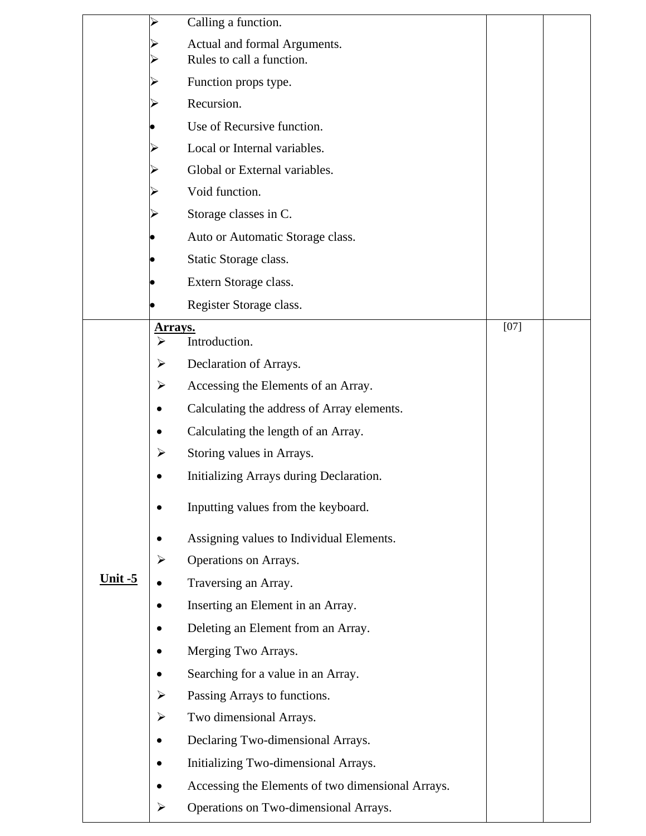|                | ⋗                     | Calling a function.                                       |        |  |
|----------------|-----------------------|-----------------------------------------------------------|--------|--|
|                |                       | Actual and formal Arguments.<br>Rules to call a function. |        |  |
|                |                       | Function props type.                                      |        |  |
|                |                       | Recursion.                                                |        |  |
|                |                       | Use of Recursive function.                                |        |  |
|                |                       | Local or Internal variables.                              |        |  |
|                |                       | Global or External variables.                             |        |  |
|                |                       | Void function.                                            |        |  |
|                |                       | Storage classes in C.                                     |        |  |
|                |                       | Auto or Automatic Storage class.                          |        |  |
|                |                       | Static Storage class.                                     |        |  |
|                |                       | Extern Storage class.                                     |        |  |
|                |                       | Register Storage class.                                   |        |  |
|                | <b>Arrays.</b>        |                                                           | $[07]$ |  |
|                | $\blacktriangleright$ | Introduction.                                             |        |  |
|                | ➤                     | Declaration of Arrays.                                    |        |  |
|                | ➤                     | Accessing the Elements of an Array.                       |        |  |
|                |                       | Calculating the address of Array elements.                |        |  |
|                | ٠                     | Calculating the length of an Array.                       |        |  |
|                | ➤                     | Storing values in Arrays.                                 |        |  |
|                |                       | Initializing Arrays during Declaration.                   |        |  |
|                |                       | Inputting values from the keyboard.                       |        |  |
|                |                       | Assigning values to Individual Elements.                  |        |  |
|                | $\blacktriangleright$ | Operations on Arrays.                                     |        |  |
| <u>Unit -5</u> |                       | Traversing an Array.                                      |        |  |
|                |                       | Inserting an Element in an Array.                         |        |  |
|                |                       | Deleting an Element from an Array.                        |        |  |
|                |                       | Merging Two Arrays.                                       |        |  |
|                |                       | Searching for a value in an Array.                        |        |  |
|                | ➤                     | Passing Arrays to functions.                              |        |  |
|                | ➤                     | Two dimensional Arrays.                                   |        |  |
|                |                       | Declaring Two-dimensional Arrays.                         |        |  |
|                |                       | Initializing Two-dimensional Arrays.                      |        |  |
|                |                       | Accessing the Elements of two dimensional Arrays.         |        |  |
|                | ➤                     | Operations on Two-dimensional Arrays.                     |        |  |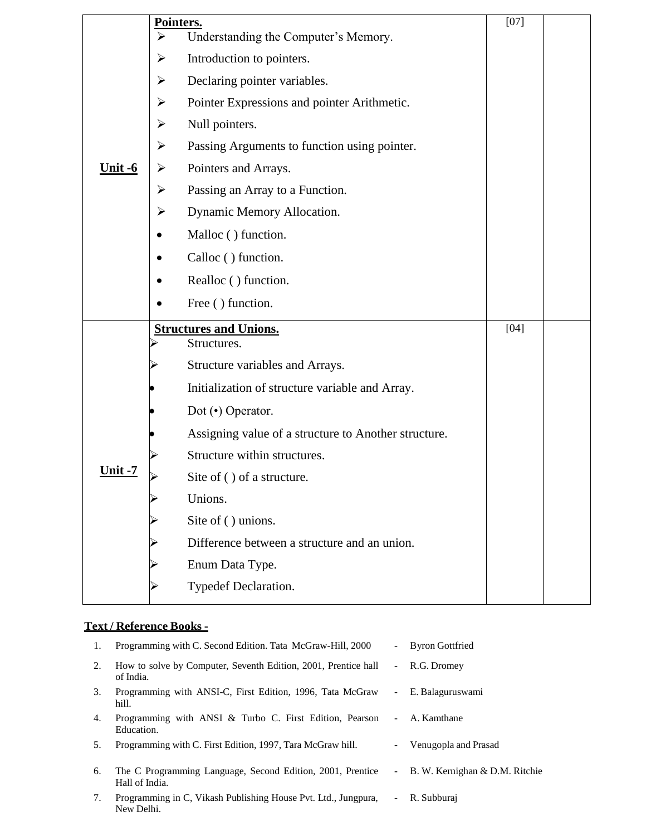|                       | Pointers.<br>$\blacktriangleright$<br>Understanding the Computer's Memory. | $[07]$ |  |
|-----------------------|----------------------------------------------------------------------------|--------|--|
|                       | Introduction to pointers.<br>➤                                             |        |  |
|                       | Declaring pointer variables.<br>➤                                          |        |  |
|                       | Pointer Expressions and pointer Arithmetic.<br>$\blacktriangleright$       |        |  |
|                       | Null pointers.<br>➤                                                        |        |  |
|                       | Passing Arguments to function using pointer.<br>$\blacktriangleright$      |        |  |
| <u><b>Unit -6</b></u> | Pointers and Arrays.<br>➤                                                  |        |  |
|                       | $\blacktriangleright$<br>Passing an Array to a Function.                   |        |  |
|                       | Dynamic Memory Allocation.<br>➤                                            |        |  |
|                       | Malloc () function.                                                        |        |  |
|                       | Calloc () function.                                                        |        |  |
|                       | Realloc () function.                                                       |        |  |
|                       | Free () function.                                                          |        |  |
|                       | <b>Structures and Unions.</b>                                              | $[04]$ |  |
|                       | Structures.                                                                |        |  |
|                       |                                                                            |        |  |
|                       | Structure variables and Arrays.                                            |        |  |
|                       | Initialization of structure variable and Array.                            |        |  |
|                       | Dot (•) Operator.                                                          |        |  |
|                       | Assigning value of a structure to Another structure.                       |        |  |
|                       | Structure within structures.                                               |        |  |
| <u>Unit -7</u>        | Site of () of a structure.                                                 |        |  |
|                       | Unions.                                                                    |        |  |
|                       | Site of () unions.                                                         |        |  |
|                       | Difference between a structure and an union.                               |        |  |
|                       | Enum Data Type.                                                            |        |  |
|                       | Typedef Declaration.                                                       |        |  |

## **Text / Reference Books -**

| 1. | Programming with C. Second Edition. Tata McGraw-Hill, 2000                   | $\overline{\phantom{a}}$ | <b>Byron Gottfried</b>           |
|----|------------------------------------------------------------------------------|--------------------------|----------------------------------|
| 2. | How to solve by Computer, Seventh Edition, 2001, Prentice hall<br>of India.  |                          | - R.G. Dromey                    |
| 3. | Programming with ANSI-C, First Edition, 1996, Tata McGraw<br>hill.           | $\overline{\phantom{a}}$ | E. Balaguruswami                 |
| 4. | Programming with ANSI & Turbo C. First Edition, Pearson<br>Education.        | $\overline{\phantom{a}}$ | A. Kamthane                      |
| 5. | Programming with C. First Edition, 1997, Tara McGraw hill.                   | $\qquad \qquad -$        | Venugopla and Prasad             |
| 6. | The C Programming Language, Second Edition, 2001, Prentice<br>Hall of India. |                          | - B. W. Kernighan & D.M. Ritchie |
| 7. | Programming in C, Vikash Publishing House Pvt. Ltd., Jungpura,<br>New Delhi. | $\overline{a}$           | R. Subburai                      |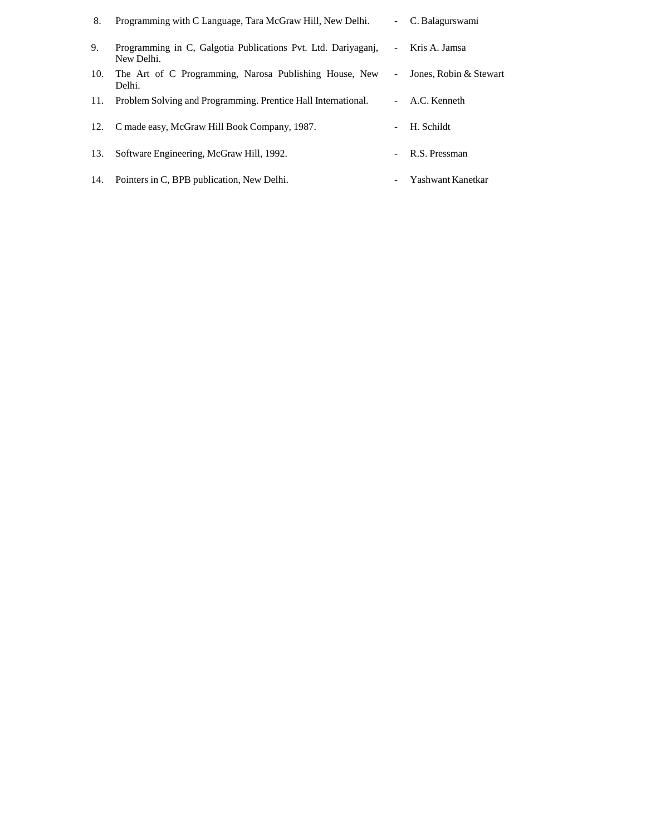| 8.  | Programming with C Language, Tara McGraw Hill, New Delhi.                   |                          | - C. Balagurswami      |
|-----|-----------------------------------------------------------------------------|--------------------------|------------------------|
| 9.  | Programming in C, Galgotia Publications Pvt. Ltd. Dariyaganj,<br>New Delhi. | $\overline{\phantom{0}}$ | Kris A. Jamsa          |
| 10. | The Art of C Programming, Narosa Publishing House, New<br>Delhi.            | $\overline{\phantom{0}}$ | Jones, Robin & Stewart |
| 11. | Problem Solving and Programming. Prentice Hall International.               | $\sim 100$               | A.C. Kenneth           |
|     | 12. C made easy, McGraw Hill Book Company, 1987.                            |                          | H. Schildt             |
| 13. | Software Engineering, McGraw Hill, 1992.                                    |                          | R.S. Pressman          |
| 14. | Pointers in C, BPB publication, New Delhi.                                  |                          | Yashwant Kanetkar      |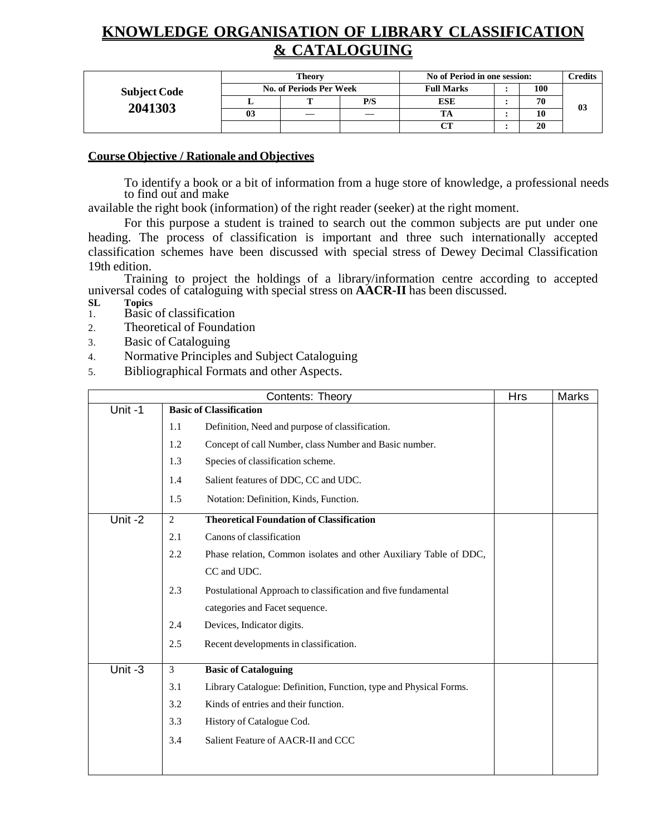# **KNOWLEDGE ORGANISATION OF LIBRARY CLASSIFICATION & CATALOGUING**

|                     |    | Theory                         |     | No of Period in one session: |     | <b>Predits</b> |
|---------------------|----|--------------------------------|-----|------------------------------|-----|----------------|
| <b>Subject Code</b> |    | <b>No. of Periods Per Week</b> |     | <b>Full Marks</b>            | 100 |                |
|                     |    | m                              | P/S | <b>ESE</b>                   | 70  | 03             |
| 2041303             | 03 | —                              |     |                              | 10  |                |
|                     |    |                                |     | CТ                           | 20  |                |

#### **Course Objective / Rationale and Objectives**

To identify a book or a bit of information from a huge store of knowledge, a professional needs to find out and make

available the right book (information) of the right reader (seeker) at the right moment.

For this purpose a student is trained to search out the common subjects are put under one heading. The process of classification is important and three such internationally accepted classification schemes have been discussed with special stress of Dewey Decimal Classification 19th edition.

Training to project the holdings of a library/information centre according to accepted universal codes of cataloguing with special stress on **AACR-II** has been discussed.

- **Topics**
- 1. Basic of classification
- 2. Theoretical of Foundation
- 3. Basic of Cataloguing
- 4. Normative Principles and Subject Cataloguing
- 5. Bibliographical Formats and other Aspects.

|           | Contents: Theory                                                         | <b>Hrs</b> | <b>Marks</b> |
|-----------|--------------------------------------------------------------------------|------------|--------------|
| Unit-1    | <b>Basic of Classification</b>                                           |            |              |
|           | Definition, Need and purpose of classification.<br>1.1                   |            |              |
|           | 1.2<br>Concept of call Number, class Number and Basic number.            |            |              |
|           | 1.3<br>Species of classification scheme.                                 |            |              |
|           | Salient features of DDC, CC and UDC.<br>1.4                              |            |              |
|           | 1.5<br>Notation: Definition, Kinds, Function.                            |            |              |
| Unit-2    | <b>Theoretical Foundation of Classification</b><br>2                     |            |              |
|           | Canons of classification<br>2.1                                          |            |              |
|           | 2.2<br>Phase relation, Common isolates and other Auxiliary Table of DDC, |            |              |
|           | CC and UDC.                                                              |            |              |
|           | 2.3<br>Postulational Approach to classification and five fundamental     |            |              |
|           | categories and Facet sequence.                                           |            |              |
|           | 2.4<br>Devices, Indicator digits.                                        |            |              |
|           | 2.5<br>Recent developments in classification.                            |            |              |
| Unit $-3$ | 3<br><b>Basic of Cataloguing</b>                                         |            |              |
|           | 3.1<br>Library Catalogue: Definition, Function, type and Physical Forms. |            |              |
|           | Kinds of entries and their function.<br>3.2                              |            |              |
|           | 3.3<br>History of Catalogue Cod.                                         |            |              |
|           | Salient Feature of AACR-II and CCC<br>3.4                                |            |              |
|           |                                                                          |            |              |
|           |                                                                          |            |              |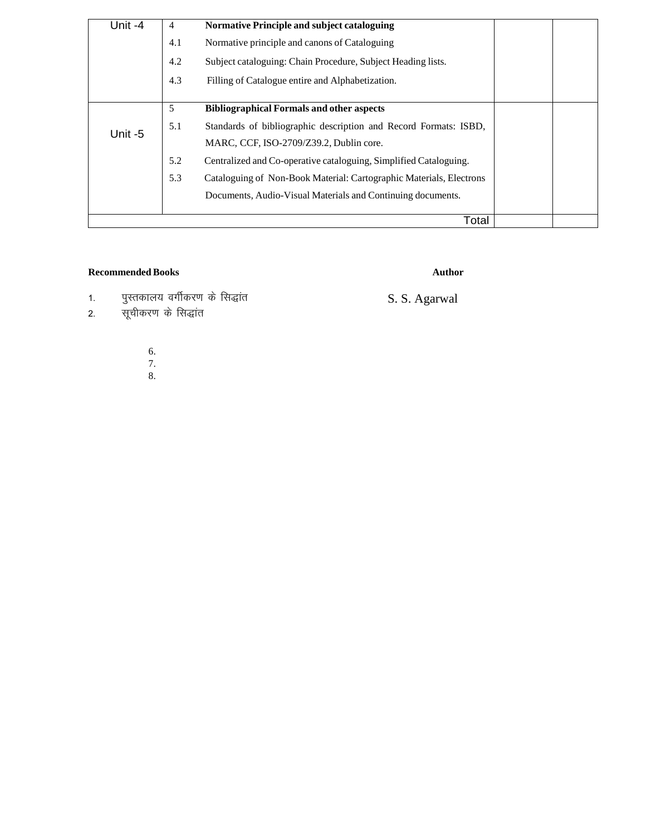| Unit-4 | 4   | <b>Normative Principle and subject cataloguing</b>                  |  |
|--------|-----|---------------------------------------------------------------------|--|
|        | 4.1 | Normative principle and canons of Cataloguing                       |  |
|        | 4.2 | Subject cataloguing: Chain Procedure, Subject Heading lists.        |  |
|        | 4.3 | Filling of Catalogue entire and Alphabetization.                    |  |
|        |     |                                                                     |  |
|        | 5   | <b>Bibliographical Formals and other aspects</b>                    |  |
| Unit-5 | 5.1 | Standards of bibliographic description and Record Formats: ISBD,    |  |
|        |     | MARC, CCF, ISO-2709/Z39.2, Dublin core.                             |  |
|        | 5.2 | Centralized and Co-operative cataloguing, Simplified Cataloguing.   |  |
|        | 5.3 | Cataloguing of Non-Book Material: Cartographic Materials, Electrons |  |
|        |     | Documents, Audio-Visual Materials and Continuing documents.         |  |
|        |     |                                                                     |  |
|        |     | Total                                                               |  |

#### Recommended Books **Author**

1. पुस्तकालय वर्गीकरण के सिद्धांत and a set of the S.S. Agarwal

- 2. सूचीकरण के सिद्धांत
	- 6.
	- 7. 8.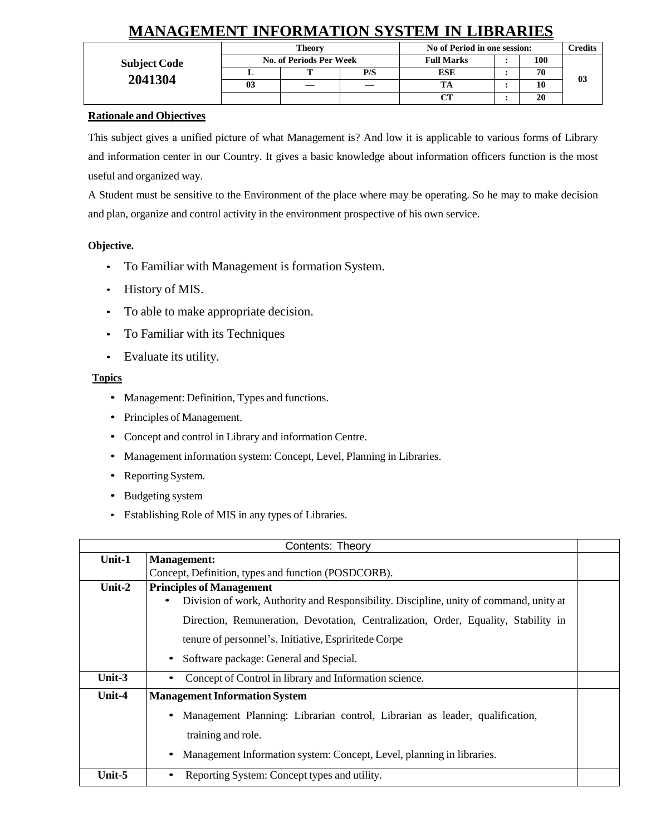# **MANAGEMENT INFORMATION SYSTEM IN LIBRARIES**

|                     |                | Theory                         |     | No of Period in one session: |     | Credits |
|---------------------|----------------|--------------------------------|-----|------------------------------|-----|---------|
| <b>Subject Code</b> |                | <b>No. of Periods Per Week</b> |     | <b>Full Marks</b>            | 100 |         |
|                     |                |                                | P/S | <b>ESE</b>                   | 70  | 03      |
| 2041304             | 0 <sup>3</sup> |                                |     |                              | 10  |         |
|                     |                |                                |     | $\sim$                       | 20  |         |

#### **Rationale and Objectives**

This subject gives a unified picture of what Management is? And low it is applicable to various forms of Library and information center in our Country. It gives a basic knowledge about information officers function is the most useful and organized way.

A Student must be sensitive to the Environment of the place where may be operating. So he may to make decision and plan, organize and control activity in the environment prospective of his own service.

#### **Objective.**

- To Familiar with Management is formation System.
- History of MIS.
- To able to make appropriate decision.
- To Familiar with its Techniques
- Evaluate its utility.

#### **Topics**

- Management: Definition, Types and functions.
- Principles of Management.
- Concept and control in Library and information Centre.
- Management information system: Concept, Level, Planning in Libraries.
- Reporting System.
- Budgeting system
- Establishing Role of MIS in any types of Libraries.

|          | Contents: Theory                                                                                                               |  |
|----------|--------------------------------------------------------------------------------------------------------------------------------|--|
| Unit-1   | <b>Management:</b>                                                                                                             |  |
|          | Concept, Definition, types and function (POSDCORB).                                                                            |  |
| Unit-2   | <b>Principles of Management</b><br>Division of work, Authority and Responsibility. Discipline, unity of command, unity at<br>٠ |  |
|          | Direction, Remuneration, Devotation, Centralization, Order, Equality, Stability in                                             |  |
|          | tenure of personnel's, Initiative, Espriritede Corpe                                                                           |  |
|          | • Software package: General and Special.                                                                                       |  |
| Unit-3   | Concept of Control in library and Information science.                                                                         |  |
| $Unit-4$ | <b>Management Information System</b>                                                                                           |  |
|          | Management Planning: Librarian control, Librarian as leader, qualification,<br>$\bullet$                                       |  |
|          | training and role.                                                                                                             |  |
|          | Management Information system: Concept, Level, planning in libraries.<br>$\bullet$                                             |  |
| Unit-5   | Reporting System: Concept types and utility.                                                                                   |  |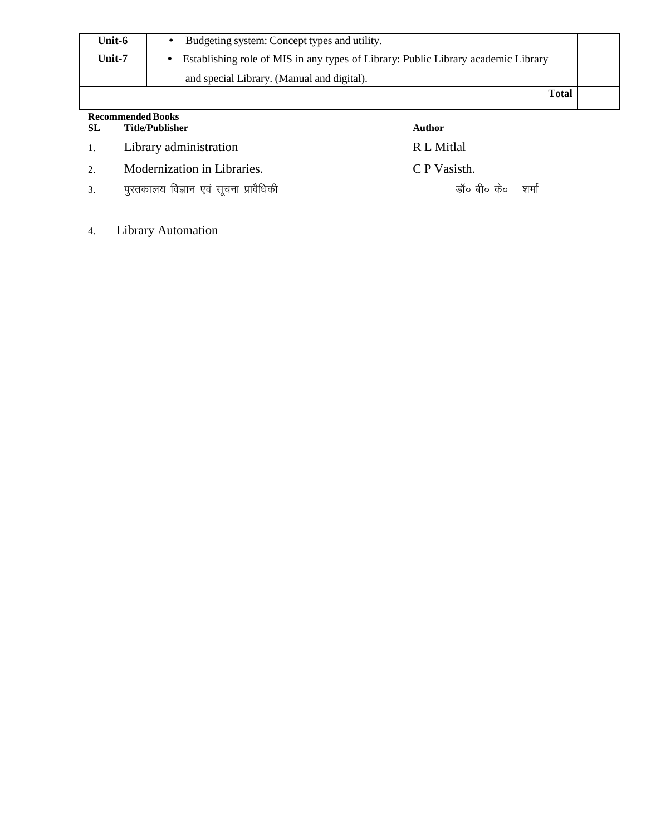| Unit-6                   | Budgeting system: Concept types and utility.                                      |  |
|--------------------------|-----------------------------------------------------------------------------------|--|
| Unit-7                   | Establishing role of MIS in any types of Library: Public Library academic Library |  |
|                          | and special Library. (Manual and digital).                                        |  |
|                          | <b>Total</b>                                                                      |  |
| <b>Recommended Books</b> |                                                                                   |  |

| -SL | Title/Publisher                       | Author               |
|-----|---------------------------------------|----------------------|
|     | 1. Library administration             | R L Mitlal           |
| 2.  | Modernization in Libraries.           | C P Vasisth.         |
| 3.  | पुस्तकालय विज्ञान एव सूचना प्रावैधिकी | डॉ० बी० के०    शर्मा |

4. Library Automation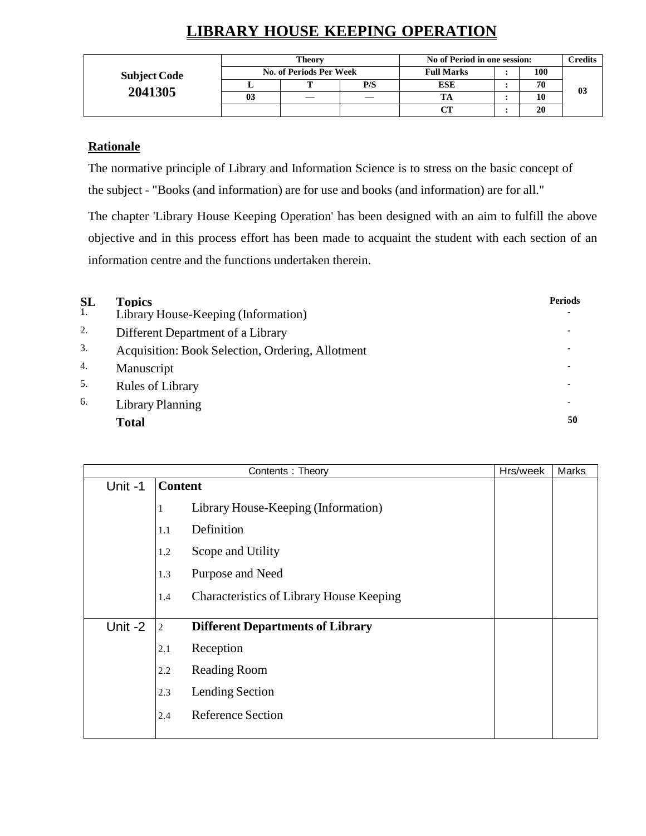# **LIBRARY HOUSE KEEPING OPERATION**

|                     |    | <b>Theory</b>           |     | No of Period in one session: |     | $\gamma$ redits |
|---------------------|----|-------------------------|-----|------------------------------|-----|-----------------|
| <b>Subject Code</b> |    | No. of Periods Per Week |     | <b>Full Marks</b>            | 100 |                 |
|                     |    |                         | P/S | <b>ESE</b>                   | 70  | 0 <sub>3</sub>  |
| 2041305             | 03 |                         |     |                              | 10  |                 |
|                     |    |                         |     | CТ                           | 20  |                 |

## **Rationale**

The normative principle of Library and Information Science is to stress on the basic concept of the subject - "Books (and information) are for use and books (and information) are for all."

The chapter 'Library House Keeping Operation' has been designed with an aim to fulfill the above objective and in this process effort has been made to acquaint the student with each section of an information centre and the functions undertaken therein.

| <b>SL</b>        | <b>Topics</b>                                    | <b>Periods</b> |
|------------------|--------------------------------------------------|----------------|
| 1.               | Library House-Keeping (Information)              |                |
| 2.               | Different Department of a Library                |                |
| 3.               | Acquisition: Book Selection, Ordering, Allotment |                |
| $\overline{4}$ . | Manuscript                                       |                |
| 5.               | <b>Rules of Library</b>                          |                |
| 6.               | <b>Library Planning</b>                          | ٠              |
|                  | <b>Total</b>                                     | 50             |

|         |                | Contents: Theory                                | Hrs/week | Marks |
|---------|----------------|-------------------------------------------------|----------|-------|
| Unit-1  | <b>Content</b> |                                                 |          |       |
|         |                | Library House-Keeping (Information)             |          |       |
|         | 1.1            | Definition                                      |          |       |
|         | 1.2            | Scope and Utility                               |          |       |
|         | 1.3            | Purpose and Need                                |          |       |
|         | 1.4            | <b>Characteristics of Library House Keeping</b> |          |       |
| Unit -2 | $\overline{2}$ | <b>Different Departments of Library</b>         |          |       |
|         | 2.1            | Reception                                       |          |       |
|         | 2.2            | <b>Reading Room</b>                             |          |       |
|         | 2.3            | Lending Section                                 |          |       |
|         | 2.4            | <b>Reference Section</b>                        |          |       |
|         |                |                                                 |          |       |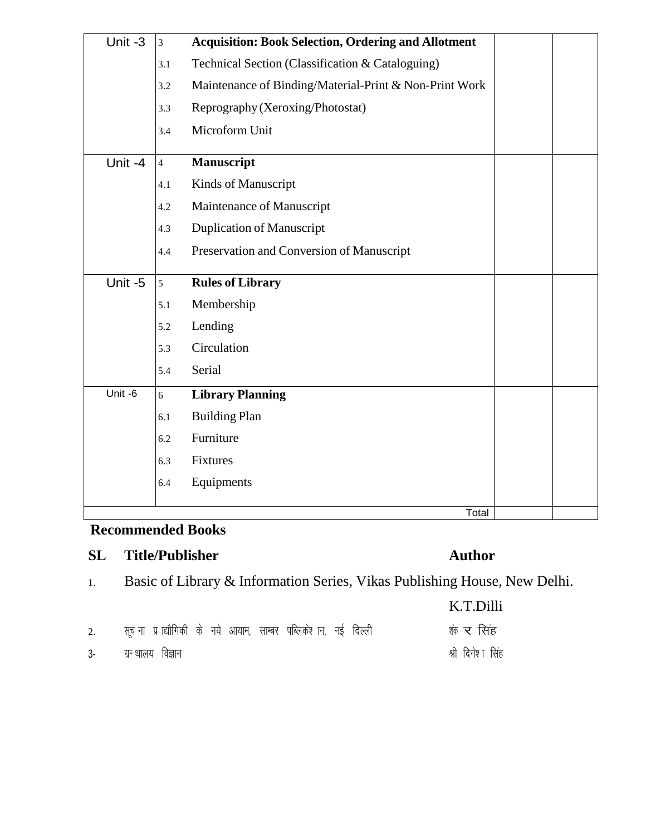| Unit -3 | $\mathfrak{Z}$ | <b>Acquisition: Book Selection, Ordering and Allotment</b> |  |
|---------|----------------|------------------------------------------------------------|--|
|         | 3.1            | Technical Section (Classification & Cataloguing)           |  |
|         | 3.2            | Maintenance of Binding/Material-Print & Non-Print Work     |  |
|         | 3.3            | Reprography (Xeroxing/Photostat)                           |  |
|         | 3.4            | Microform Unit                                             |  |
| Unit -4 | $\overline{4}$ | <b>Manuscript</b>                                          |  |
|         | 4.1            | Kinds of Manuscript                                        |  |
|         | 4.2            | Maintenance of Manuscript                                  |  |
|         | 4.3            | <b>Duplication of Manuscript</b>                           |  |
|         | 4.4            | Preservation and Conversion of Manuscript                  |  |
|         |                |                                                            |  |
| Unit -5 | 5              | <b>Rules of Library</b>                                    |  |
|         | 5.1            | Membership                                                 |  |
|         | 5.2            | Lending                                                    |  |
|         | 5.3            | Circulation                                                |  |
|         | 5.4            | Serial                                                     |  |
| Unit -6 | 6              | <b>Library Planning</b>                                    |  |
|         | 6.1            | <b>Building Plan</b>                                       |  |
|         | 6.2            | Furniture                                                  |  |
|         | 6.3            | Fixtures                                                   |  |
|         | 6.4            | Equipments                                                 |  |

# **Recommended Books**

# **SL Title/Publisher Author**

1. Basic of Library & Information Series, Vikas Publishing House, New Delhi.

|    |                                                                  | K.T.Dilli        |
|----|------------------------------------------------------------------|------------------|
| 2. | सूच ना) प्राद्यौगिकी के नये आयाम, साम्बर पब्लिकेश्च न, नई दिल्ली | शंक र सिंह       |
|    | 3- ग्रन्थालय विज्ञान                                             | श्री दिनेशा सिंह |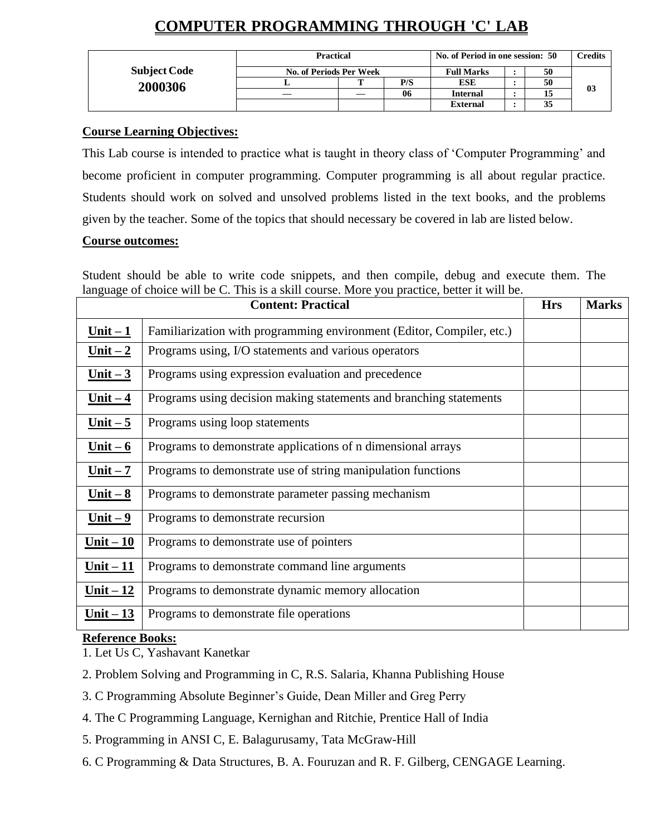# **COMPUTER PROGRAMMING THROUGH 'C' LAB**

|                     | <b>Practical</b>        | No. of Period in one session: 50 | Credits |                 |    |    |
|---------------------|-------------------------|----------------------------------|---------|-----------------|----|----|
| <b>Subject Code</b> | No. of Periods Per Week | <b>Full Marks</b>                | 50      |                 |    |    |
| 2000306             |                         | m                                | P/S     | <b>ESE</b>      | 50 |    |
|                     |                         |                                  | 06      | <b>Internal</b> |    | 03 |
|                     |                         |                                  |         | <b>External</b> | 35 |    |

## **Course Learning Objectives:**

This Lab course is intended to practice what is taught in theory class of 'Computer Programming' and become proficient in computer programming. Computer programming is all about regular practice. Students should work on solved and unsolved problems listed in the text books, and the problems given by the teacher. Some of the topics that should necessary be covered in lab are listed below.

## **Course outcomes:**

Student should be able to write code snippets, and then compile, debug and execute them. The language of choice will be C. This is a skill course. More you practice, better it will be.

|             | <b>Content: Practical</b>                                             | <b>Hrs</b> | <b>Marks</b> |
|-------------|-----------------------------------------------------------------------|------------|--------------|
| $Unit - 1$  | Familiarization with programming environment (Editor, Compiler, etc.) |            |              |
| $Unit - 2$  | Programs using, I/O statements and various operators                  |            |              |
| $Unit - 3$  | Programs using expression evaluation and precedence                   |            |              |
| $Unit - 4$  | Programs using decision making statements and branching statements    |            |              |
| $Unit - 5$  | Programs using loop statements                                        |            |              |
| Unit $-6$   | Programs to demonstrate applications of n dimensional arrays          |            |              |
| $Unit - 7$  | Programs to demonstrate use of string manipulation functions          |            |              |
| $Unit - 8$  | Programs to demonstrate parameter passing mechanism                   |            |              |
| $Unit - 9$  | Programs to demonstrate recursion                                     |            |              |
| $Unit - 10$ | Programs to demonstrate use of pointers                               |            |              |
| $Unit - 11$ | Programs to demonstrate command line arguments                        |            |              |
| $Unit - 12$ | Programs to demonstrate dynamic memory allocation                     |            |              |
| Unit $-13$  | Programs to demonstrate file operations                               |            |              |

## **Reference Books:**

1. Let Us C, Yashavant Kanetkar

- 2. Problem Solving and Programming in C, R.S. Salaria, Khanna Publishing House
- 3. C Programming Absolute Beginner's Guide, Dean Miller and Greg Perry
- 4. The C Programming Language, Kernighan and Ritchie, Prentice Hall of India
- 5. Programming in ANSI C, E. Balagurusamy, Tata McGraw-Hill
- 6. C Programming & Data Structures, B. A. Fouruzan and R. F. Gilberg, CENGAGE Learning.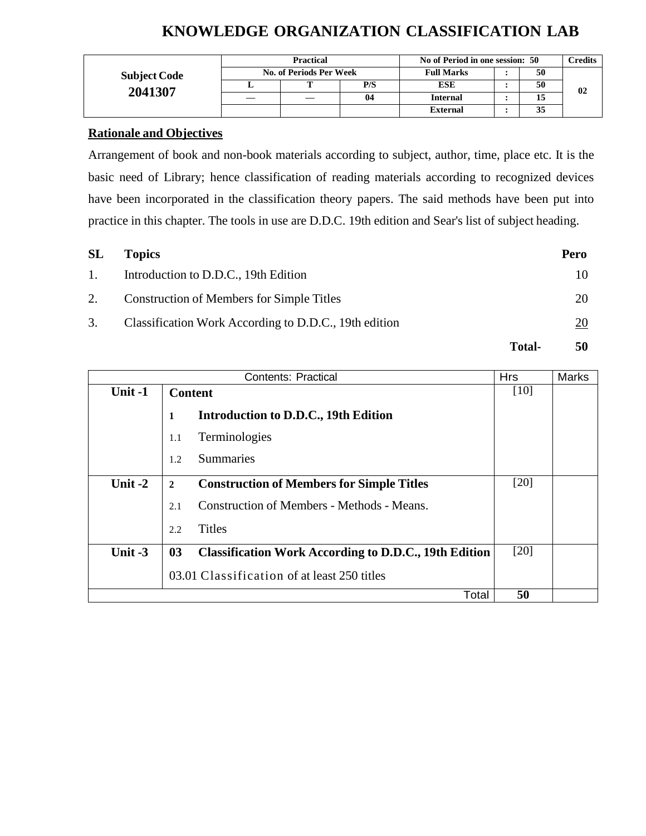# **KNOWLEDGE ORGANIZATION CLASSIFICATION LAB**

|                     | <b>Practical</b> |                         |     | No of Period in one session: 50 |  |    | C <b>redits</b> |
|---------------------|------------------|-------------------------|-----|---------------------------------|--|----|-----------------|
| <b>Subject Code</b> |                  | No. of Periods Per Week |     | <b>Full Marks</b>               |  | 50 |                 |
|                     |                  |                         | P/S | <b>ESE</b>                      |  | 50 | 02              |
| 2041307             |                  |                         | 04  | <b>Internal</b>                 |  | 15 |                 |
|                     |                  |                         |     | <b>External</b>                 |  | 35 |                 |

## **Rationale and Objectives**

Arrangement of book and non-book materials according to subject, author, time, place etc. It is the basic need of Library; hence classification of reading materials according to recognized devices have been incorporated in the classification theory papers. The said methods have been put into practice in this chapter. The tools in use are D.D.C. 19th edition and Sear's list of subject heading.

| SL | <b>Topics</b>                                         |               | Pero |
|----|-------------------------------------------------------|---------------|------|
| 1. | Introduction to D.D.C., 19th Edition                  |               | 10   |
| 2. | <b>Construction of Members for Simple Titles</b>      |               | 20   |
| 3. | Classification Work According to D.D.C., 19th edition |               | 20   |
|    |                                                       | <b>Total-</b> | 50   |

|           | <b>Contents: Practical</b> |                                                              |        |  |  |  |  |
|-----------|----------------------------|--------------------------------------------------------------|--------|--|--|--|--|
| Unit $-1$ | <b>Content</b>             |                                                              | [10]   |  |  |  |  |
|           | 1                          | Introduction to D.D.C., 19th Edition                         |        |  |  |  |  |
|           | 1.1                        | Terminologies                                                |        |  |  |  |  |
|           | 1.2                        | Summaries                                                    |        |  |  |  |  |
| Unit $-2$ | $\overline{2}$             | <b>Construction of Members for Simple Titles</b>             | [20]   |  |  |  |  |
|           | 2.1                        | Construction of Members - Methods - Means.                   |        |  |  |  |  |
|           | 2.2                        | <b>Titles</b>                                                |        |  |  |  |  |
| Unit -3   | 03                         | <b>Classification Work According to D.D.C., 19th Edition</b> | $[20]$ |  |  |  |  |
|           |                            | 03.01 Classification of at least 250 titles                  |        |  |  |  |  |
|           |                            | Total                                                        | 50     |  |  |  |  |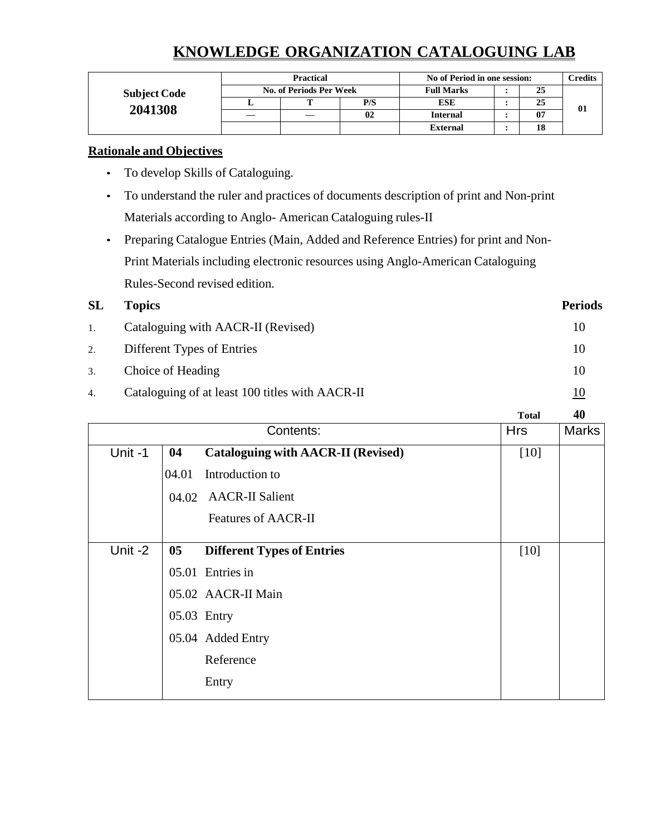# **KNOWLEDGE ORGANIZATION CATALOGUING LAB**

|                     | <b>Practical</b><br><b>No. of Periods Per Week</b> |   |     | No of Period in one session: |  |    | Credits |
|---------------------|----------------------------------------------------|---|-----|------------------------------|--|----|---------|
| <b>Subject Code</b> |                                                    |   |     | <b>Full Marks</b>            |  | 25 |         |
|                     |                                                    | m | P/S | <b>ESE</b>                   |  | 25 |         |
| 2041308             |                                                    |   | 02  | <b>Internal</b>              |  | 07 | 01      |
|                     |                                                    |   |     | <b>External</b>              |  | 18 |         |

### **Rationale and Objectives**

- To develop Skills of Cataloguing.
- To understand the ruler and practices of documents description of print and Non-print Materials according to Anglo- American Cataloguing rules-II
- Preparing Catalogue Entries (Main, Added and Reference Entries) for print and Non-Print Materials including electronic resources using Anglo-American Cataloguing Rules-Second revised edition.

# **SL Topics Periods** 1. Cataloguing with AACR-II (Revised) 10 2. Different Types of Entries 10 3. Choice of Heading 10 4. Cataloguing of at least 100 titles with AACR-II 10

**Total 40** Contents: **Cataloguing with AACR-II (Revised)** Hrs Marks Unit -1 **04** 04.01 Introduction to 04.02 AACR-II Salient Features of AACR-II [10] Unit -2 **05** 05.01 Entries in 05.02 AACR-II Main 05.03 Entry 05.04 Added Entry **Different Types of Entries** Reference Entry [10]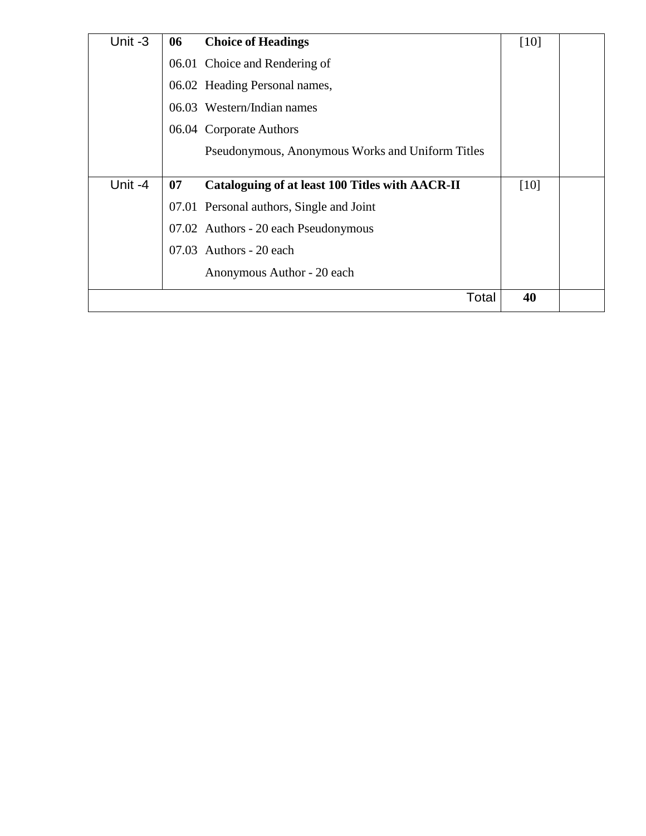| Unit-3  | 06 | <b>Choice of Headings</b>                        | [10]   |
|---------|----|--------------------------------------------------|--------|
|         |    | 06.01 Choice and Rendering of                    |        |
|         |    | 06.02 Heading Personal names,                    |        |
|         |    | 06.03 Western/Indian names                       |        |
|         |    | 06.04 Corporate Authors                          |        |
|         |    | Pseudonymous, Anonymous Works and Uniform Titles |        |
|         |    |                                                  |        |
| Unit -4 | 07 | Cataloguing of at least 100 Titles with AACR-II  | $[10]$ |
|         |    | 07.01 Personal authors, Single and Joint         |        |
|         |    | 07.02 Authors - 20 each Pseudonymous             |        |
|         |    | $07.03$ Authors - 20 each                        |        |
|         |    | Anonymous Author - 20 each                       |        |
|         |    | Total                                            | 40     |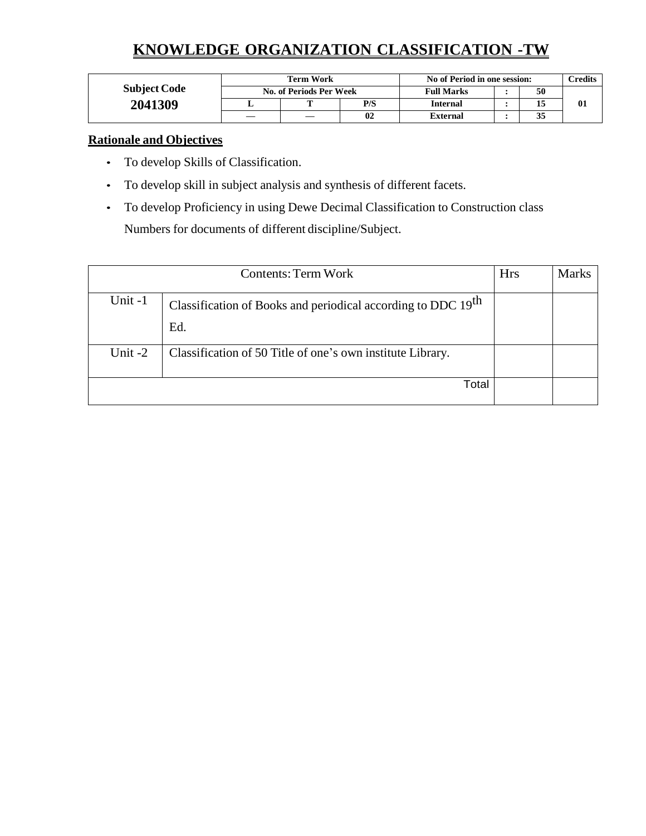# **KNOWLEDGE ORGANIZATION CLASSIFICATION -TW**

|                     | Term Work               |  |     | No of Period in one session: |  |    | $\mathop{{\rm \mathbf{C}redits}}$ |
|---------------------|-------------------------|--|-----|------------------------------|--|----|-----------------------------------|
| <b>Subject Code</b> | No. of Periods Per Week |  |     | <b>Full Marks</b>            |  | 50 |                                   |
| 2041309             |                         |  | P/S | <b>Internal</b>              |  |    | 01                                |
|                     |                         |  | 02  | External                     |  | 35 |                                   |

## **Rationale and Objectives**

- To develop Skills of Classification.
- To develop skill in subject analysis and synthesis of different facets.
- To develop Proficiency in using Dewe Decimal Classification to Construction class Numbers for documents of different discipline/Subject.

|         | <b>Hrs</b>                                                                      | <b>Marks</b> |  |
|---------|---------------------------------------------------------------------------------|--------------|--|
| Unit-1  | Classification of Books and periodical according to DDC 19 <sup>th</sup><br>Ed. |              |  |
| Unit -2 | Classification of 50 Title of one's own institute Library.                      |              |  |
|         | Total                                                                           |              |  |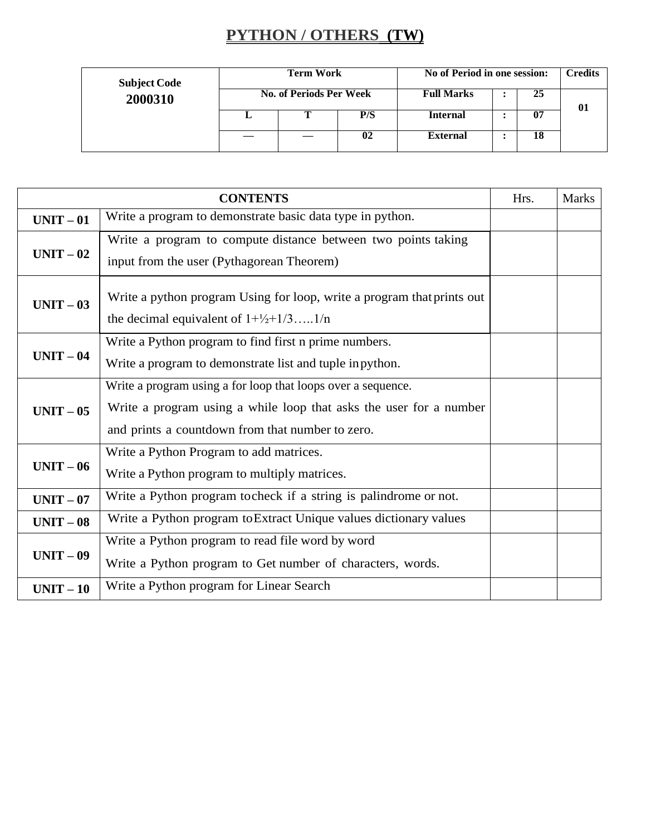# **PYTHON / OTHERS (TW)**

| <b>Subject Code</b> | <b>Term Work</b><br>No. of Periods Per Week |  |     | No of Period in one session: | <b>Credits</b> |    |
|---------------------|---------------------------------------------|--|-----|------------------------------|----------------|----|
| 2000310             |                                             |  |     | <b>Full Marks</b>            | 25             | 01 |
|                     |                                             |  | P/S | <b>Internal</b>              | 07             |    |
|                     |                                             |  | 02  | <b>External</b>              | 18             |    |

|           | <b>CONTENTS</b>                                                                                                                                                                        | Hrs. | <b>Marks</b> |
|-----------|----------------------------------------------------------------------------------------------------------------------------------------------------------------------------------------|------|--------------|
| $UNIT-01$ | Write a program to demonstrate basic data type in python.                                                                                                                              |      |              |
| $UNIT-02$ | Write a program to compute distance between two points taking<br>input from the user (Pythagorean Theorem)                                                                             |      |              |
| $UNIT-03$ | Write a python program Using for loop, write a program that prints out<br>the decimal equivalent of $1+\frac{1}{2}+1/3$ 1/n                                                            |      |              |
| $UNIT-04$ | Write a Python program to find first n prime numbers.<br>Write a program to demonstrate list and tuple in python.                                                                      |      |              |
| $UNIT-05$ | Write a program using a for loop that loops over a sequence.<br>Write a program using a while loop that asks the user for a number<br>and prints a countdown from that number to zero. |      |              |
| $UNIT-06$ | Write a Python Program to add matrices.<br>Write a Python program to multiply matrices.                                                                                                |      |              |
| $UNIT-07$ | Write a Python program tocheck if a string is palindrome or not.                                                                                                                       |      |              |
| $UNIT-08$ | Write a Python program to Extract Unique values dictionary values                                                                                                                      |      |              |
| $UNIT-09$ | Write a Python program to read file word by word<br>Write a Python program to Get number of characters, words.                                                                         |      |              |
| $UNIT-10$ | Write a Python program for Linear Search                                                                                                                                               |      |              |